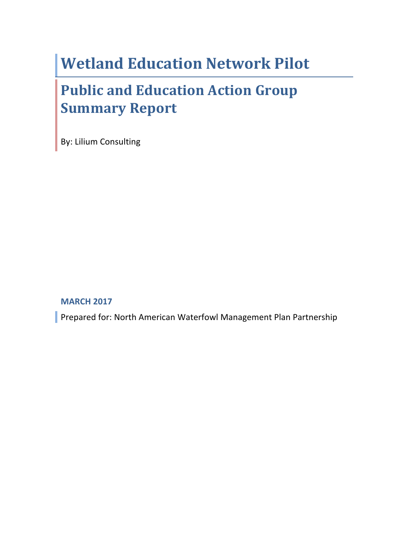# **Wetland Education Network Pilot**

# **Public and Education Action Group Summary Report**

By: Lilium Consulting

**MARCH 2017**

Prepared for: North American Waterfowl Management Plan Partnership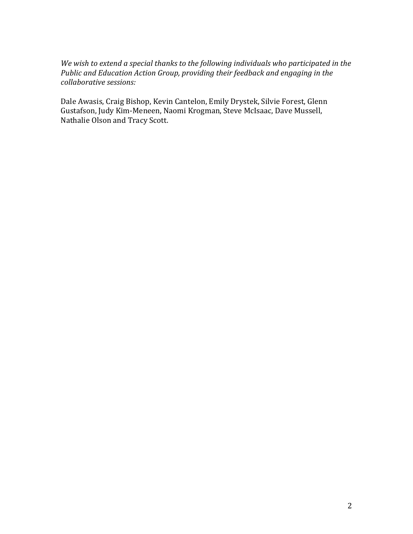We wish to extend a special thanks to the following individuals who participated in the *Public* and *Education Action Group, providing their feedback and engaging in the collaborative sessions:*

Dale Awasis, Craig Bishop, Kevin Cantelon, Emily Drystek, Silvie Forest, Glenn Gustafson, Judy Kim-Meneen, Naomi Krogman, Steve McIsaac, Dave Mussell, Nathalie Olson and Tracy Scott.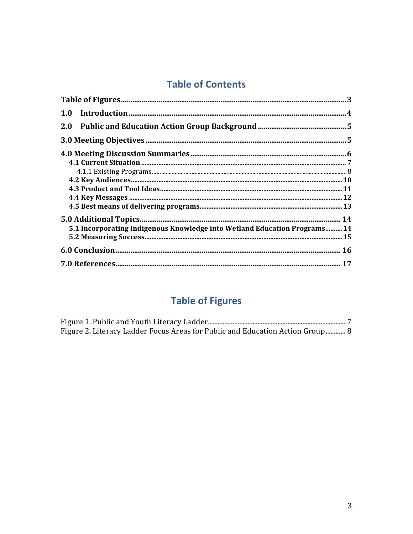# **Table of Contents**

| 5.1 Incorporating Indigenous Knowledge into Wetland Education Programs 14 |  |
|---------------------------------------------------------------------------|--|
|                                                                           |  |
|                                                                           |  |
|                                                                           |  |

# **Table of Figures**

| Figure 2. Literacy Ladder Focus Areas for Public and Education Action Group  8 |  |
|--------------------------------------------------------------------------------|--|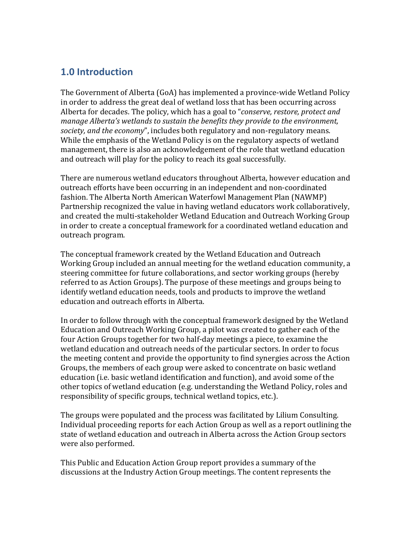### **1.0 Introduction**

The Government of Alberta (GoA) has implemented a province-wide Wetland Policy in order to address the great deal of wetland loss that has been occurring across Alberta for decades. The policy, which has a goal to "*conserve, restore, protect and manage Alberta's* wetlands to sustain the benefits they provide to the environment, *society, and the economy*", includes both regulatory and non-regulatory means. While the emphasis of the Wetland Policy is on the regulatory aspects of wetland management, there is also an acknowledgement of the role that wetland education and outreach will play for the policy to reach its goal successfully.

There are numerous wetland educators throughout Alberta, however education and outreach efforts have been occurring in an independent and non-coordinated fashion. The Alberta North American Waterfowl Management Plan (NAWMP) Partnership recognized the value in having wetland educators work collaboratively, and created the multi-stakeholder Wetland Education and Outreach Working Group in order to create a conceptual framework for a coordinated wetland education and outreach program.

The conceptual framework created by the Wetland Education and Outreach Working Group included an annual meeting for the wetland education community, a steering committee for future collaborations, and sector working groups (hereby referred to as Action Groups). The purpose of these meetings and groups being to identify wetland education needs, tools and products to improve the wetland education and outreach efforts in Alberta.

In order to follow through with the conceptual framework designed by the Wetland Education and Outreach Working Group, a pilot was created to gather each of the four Action Groups together for two half-day meetings a piece, to examine the wetland education and outreach needs of the particular sectors. In order to focus the meeting content and provide the opportunity to find synergies across the Action Groups, the members of each group were asked to concentrate on basic wetland education (i.e. basic wetland identification and function), and avoid some of the other topics of wetland education (e.g. understanding the Wetland Policy, roles and responsibility of specific groups, technical wetland topics, etc.).

The groups were populated and the process was facilitated by Lilium Consulting. Individual proceeding reports for each Action Group as well as a report outlining the state of wetland education and outreach in Alberta across the Action Group sectors were also performed.

This Public and Education Action Group report provides a summary of the discussions at the Industry Action Group meetings. The content represents the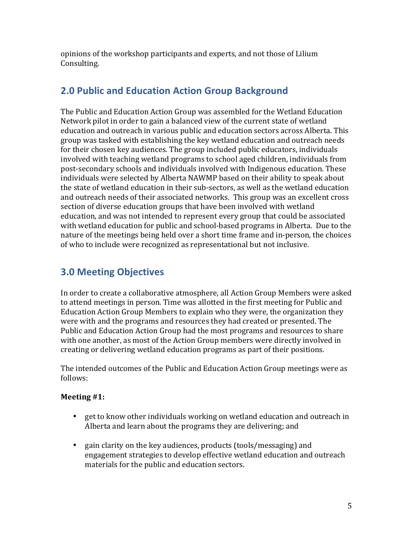opinions of the workshop participants and experts, and not those of Lilium Consulting.

### **2.0 Public and Education Action Group Background**

The Public and Education Action Group was assembled for the Wetland Education Network pilot in order to gain a balanced view of the current state of wetland education and outreach in various public and education sectors across Alberta. This group was tasked with establishing the key wetland education and outreach needs for their chosen key audiences. The group included public educators, individuals involved with teaching wetland programs to school aged children, individuals from post-secondary schools and individuals involved with Indigenous education. These individuals were selected by Alberta NAWMP based on their ability to speak about the state of wetland education in their sub-sectors, as well as the wetland education and outreach needs of their associated networks. This group was an excellent cross section of diverse education groups that have been involved with wetland education, and was not intended to represent every group that could be associated with wetland education for public and school-based programs in Alberta. Due to the nature of the meetings being held over a short time frame and in-person, the choices of who to include were recognized as representational but not inclusive.

## **3.0 Meeting Objectives**

In order to create a collaborative atmosphere, all Action Group Members were asked to attend meetings in person. Time was allotted in the first meeting for Public and Education Action Group Members to explain who they were, the organization they were with and the programs and resources they had created or presented. The Public and Education Action Group had the most programs and resources to share with one another, as most of the Action Group members were directly involved in creating or delivering wetland education programs as part of their positions.

The intended outcomes of the Public and Education Action Group meetings were as follows:

#### **Meeting** #1:

- get to know other individuals working on wetland education and outreach in Alberta and learn about the programs they are delivering; and
- gain clarity on the key audiences, products (tools/messaging) and engagement strategies to develop effective wetland education and outreach materials for the public and education sectors.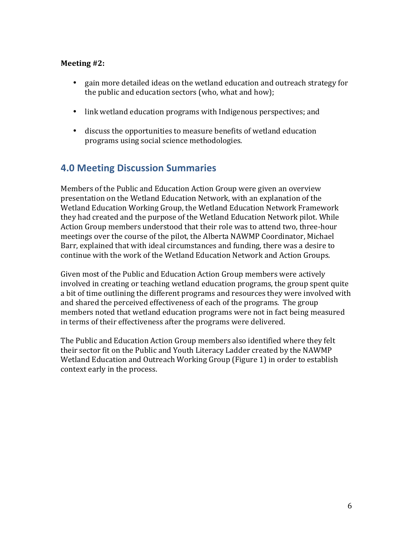#### **Meeting** #2:

- gain more detailed ideas on the wetland education and outreach strategy for the public and education sectors (who, what and how);
- link wetland education programs with Indigenous perspectives; and
- discuss the opportunities to measure benefits of wetland education programs using social science methodologies.

### **4.0 Meeting Discussion Summaries**

Members of the Public and Education Action Group were given an overview presentation on the Wetland Education Network, with an explanation of the Wetland Education Working Group, the Wetland Education Network Framework they had created and the purpose of the Wetland Education Network pilot. While Action Group members understood that their role was to attend two, three-hour meetings over the course of the pilot, the Alberta NAWMP Coordinator, Michael Barr, explained that with ideal circumstances and funding, there was a desire to continue with the work of the Wetland Education Network and Action Groups.

Given most of the Public and Education Action Group members were actively involved in creating or teaching wetland education programs, the group spent quite a bit of time outlining the different programs and resources they were involved with and shared the perceived effectiveness of each of the programs. The group members noted that wetland education programs were not in fact being measured in terms of their effectiveness after the programs were delivered.

The Public and Education Action Group members also identified where they felt their sector fit on the Public and Youth Literacy Ladder created by the NAWMP Wetland Education and Outreach Working Group (Figure 1) in order to establish context early in the process.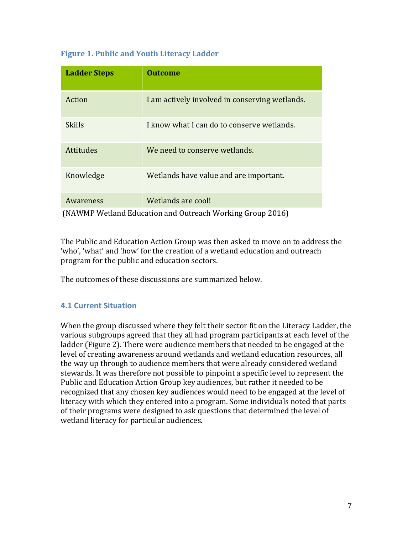| <b>Ladder Steps</b> | <b>Outcome</b>                                 |
|---------------------|------------------------------------------------|
| Action              | I am actively involved in conserving wetlands. |
| Skills              | I know what I can do to conserve wetlands.     |
| <b>Attitudes</b>    | We need to conserve wetlands.                  |
| Knowledge           | Wetlands have value and are important.         |
| Awareness           | Wetlands are cool!                             |

#### **Figure 1. Public and Youth Literacy Ladder**

(NAWMP Wetland Education and Outreach Working Group 2016)

The Public and Education Action Group was then asked to move on to address the 'who', 'what' and 'how' for the creation of a wetland education and outreach program for the public and education sectors.

The outcomes of these discussions are summarized below.

#### **4.1 Current Situation**

When the group discussed where they felt their sector fit on the Literacy Ladder, the various subgroups agreed that they all had program participants at each level of the ladder (Figure 2). There were audience members that needed to be engaged at the level of creating awareness around wetlands and wetland education resources, all the way up through to audience members that were already considered wetland stewards. It was therefore not possible to pinpoint a specific level to represent the Public and Education Action Group key audiences, but rather it needed to be recognized that any chosen key audiences would need to be engaged at the level of literacy with which they entered into a program. Some individuals noted that parts of their programs were designed to ask questions that determined the level of wetland literacy for particular audiences.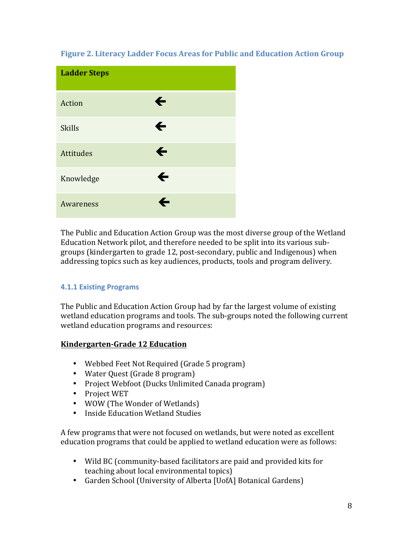#### **Figure 2. Literacy Ladder Focus Areas for Public and Education Action Group**

| <b>Ladder Steps</b> |              |
|---------------------|--------------|
| Action              | ←            |
| <b>Skills</b>       | $\leftarrow$ |
| <b>Attitudes</b>    | $\leftarrow$ |
| Knowledge           | ←            |
| Awareness           | ←            |

The Public and Education Action Group was the most diverse group of the Wetland Education Network pilot, and therefore needed to be split into its various subgroups (kindergarten to grade 12, post-secondary, public and Indigenous) when addressing topics such as key audiences, products, tools and program delivery.

#### **4.1.1 Existing Programs**

The Public and Education Action Group had by far the largest volume of existing wetland education programs and tools. The sub-groups noted the following current wetland education programs and resources:

#### **Kindergarten-Grade 12 Education**

- Webbed Feet Not Required (Grade 5 program)
- Water Quest (Grade 8 program)
- Project Webfoot (Ducks Unlimited Canada program)
- Project WET
- WOW (The Wonder of Wetlands)
- Inside Education Wetland Studies

A few programs that were not focused on wetlands, but were noted as excellent education programs that could be applied to wetland education were as follows:

- Wild BC (community-based facilitators are paid and provided kits for teaching about local environmental topics)
- Garden School (University of Alberta [UofA] Botanical Gardens)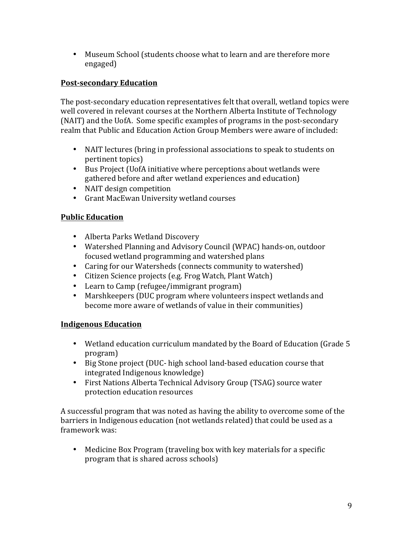• Museum School (students choose what to learn and are therefore more engaged)

#### **Post-secondary Education**

The post-secondary education representatives felt that overall, wetland topics were well covered in relevant courses at the Northern Alberta Institute of Technology (NAIT) and the UofA. Some specific examples of programs in the post-secondary realm that Public and Education Action Group Members were aware of included:

- NAIT lectures (bring in professional associations to speak to students on pertinent topics)
- Bus Project (UofA initiative where perceptions about wetlands were gathered before and after wetland experiences and education)
- NAIT design competition
- Grant MacEwan University wetland courses

#### **Public Education**

- Alberta Parks Wetland Discovery
- Watershed Planning and Advisory Council (WPAC) hands-on, outdoor focused wetland programming and watershed plans
- Caring for our Watersheds (connects community to watershed)
- Citizen Science projects (e.g. Frog Watch, Plant Watch)
- Learn to Camp (refugee/immigrant program)
- Marshkeepers (DUC program where volunteers inspect wetlands and become more aware of wetlands of value in their communities)

#### **Indigenous Education**

- Wetland education curriculum mandated by the Board of Education (Grade 5) program)
- Big Stone project (DUC- high school land-based education course that integrated Indigenous knowledge)
- First Nations Alberta Technical Advisory Group (TSAG) source water protection education resources

A successful program that was noted as having the ability to overcome some of the barriers in Indigenous education (not wetlands related) that could be used as a framework was:

• Medicine Box Program (traveling box with key materials for a specific program that is shared across schools)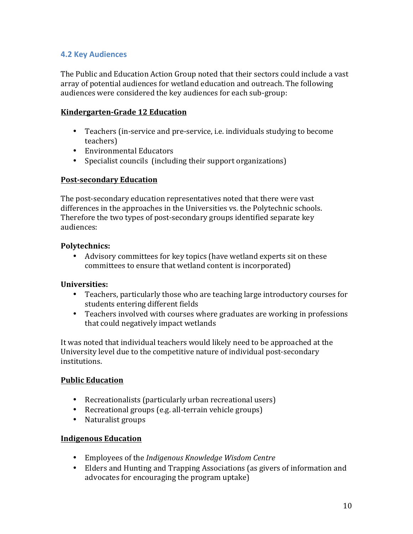#### **4.2 Key Audiences**

The Public and Education Action Group noted that their sectors could include a vast array of potential audiences for wetland education and outreach. The following audiences were considered the key audiences for each sub-group:

#### **Kindergarten-Grade 12 Education**

- Teachers (in-service and pre-service, i.e. individuals studying to become teachers)
- Environmental Educators
- Specialist councils (including their support organizations)

#### **Post-secondary Education**

The post-secondary education representatives noted that there were vast differences in the approaches in the Universities vs. the Polytechnic schools. Therefore the two types of post-secondary groups identified separate key audiences:

#### **Polytechnics:**

• Advisory committees for key topics (have wetland experts sit on these committees to ensure that wetland content is incorporated)

#### **Universities:**

- Teachers, particularly those who are teaching large introductory courses for students entering different fields
- Teachers involved with courses where graduates are working in professions that could negatively impact wetlands

It was noted that individual teachers would likely need to be approached at the University level due to the competitive nature of individual post-secondary institutions.

#### **Public Education**

- Recreationalists (particularly urban recreational users)
- Recreational groups (e.g. all-terrain vehicle groups)
- Naturalist groups

#### **Indigenous Education**

- Employees of the *Indigenous Knowledge Wisdom Centre*
- Elders and Hunting and Trapping Associations (as givers of information and advocates for encouraging the program uptake)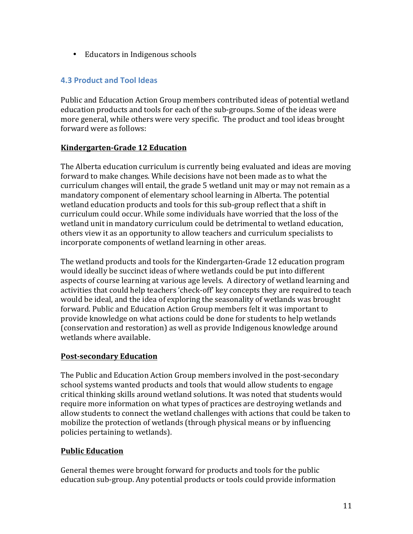• Educators in Indigenous schools

#### **4.3 Product and Tool Ideas**

Public and Education Action Group members contributed ideas of potential wetland education products and tools for each of the sub-groups. Some of the ideas were more general, while others were very specific. The product and tool ideas brought forward were as follows:

#### **Kindergarten-Grade 12 Education**

The Alberta education curriculum is currently being evaluated and ideas are moving forward to make changes. While decisions have not been made as to what the curriculum changes will entail, the grade 5 wetland unit may or may not remain as a mandatory component of elementary school learning in Alberta. The potential wetland education products and tools for this sub-group reflect that a shift in curriculum could occur. While some individuals have worried that the loss of the wetland unit in mandatory curriculum could be detrimental to wetland education, others view it as an opportunity to allow teachers and curriculum specialists to incorporate components of wetland learning in other areas.

The wetland products and tools for the Kindergarten-Grade 12 education program would ideally be succinct ideas of where wetlands could be put into different aspects of course learning at various age levels. A directory of wetland learning and activities that could help teachers 'check-off' key concepts they are required to teach would be ideal, and the idea of exploring the seasonality of wetlands was brought forward. Public and Education Action Group members felt it was important to provide knowledge on what actions could be done for students to help wetlands (conservation and restoration) as well as provide Indigenous knowledge around wetlands where available.

#### **Post-secondary Education**

The Public and Education Action Group members involved in the post-secondary school systems wanted products and tools that would allow students to engage critical thinking skills around wetland solutions. It was noted that students would require more information on what types of practices are destroying wetlands and allow students to connect the wetland challenges with actions that could be taken to mobilize the protection of wetlands (through physical means or by influencing policies pertaining to wetlands).

#### **Public Education**

General themes were brought forward for products and tools for the public education sub-group. Any potential products or tools could provide information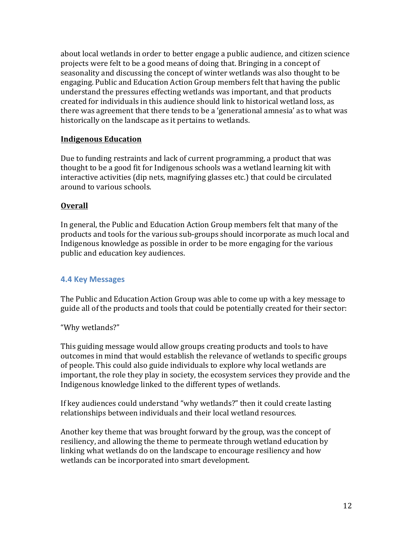about local wetlands in order to better engage a public audience, and citizen science projects were felt to be a good means of doing that. Bringing in a concept of seasonality and discussing the concept of winter wetlands was also thought to be engaging. Public and Education Action Group members felt that having the public understand the pressures effecting wetlands was important, and that products created for individuals in this audience should link to historical wetland loss, as there was agreement that there tends to be a 'generational amnesia' as to what was historically on the landscape as it pertains to wetlands.

#### **Indigenous Education**

Due to funding restraints and lack of current programming, a product that was thought to be a good fit for Indigenous schools was a wetland learning kit with interactive activities (dip nets, magnifying glasses etc.) that could be circulated around to various schools.

#### **Overall**

In general, the Public and Education Action Group members felt that many of the products and tools for the various sub-groups should incorporate as much local and Indigenous knowledge as possible in order to be more engaging for the various public and education key audiences.

#### **4.4 Key Messages**

The Public and Education Action Group was able to come up with a key message to guide all of the products and tools that could be potentially created for their sector:

#### "Why wetlands?"

This guiding message would allow groups creating products and tools to have outcomes in mind that would establish the relevance of wetlands to specific groups of people. This could also guide individuals to explore why local wetlands are important, the role they play in society, the ecosystem services they provide and the Indigenous knowledge linked to the different types of wetlands.

If key audiences could understand "why wetlands?" then it could create lasting relationships between individuals and their local wetland resources.

Another key theme that was brought forward by the group, was the concept of resiliency, and allowing the theme to permeate through wetland education by linking what wetlands do on the landscape to encourage resiliency and how wetlands can be incorporated into smart development.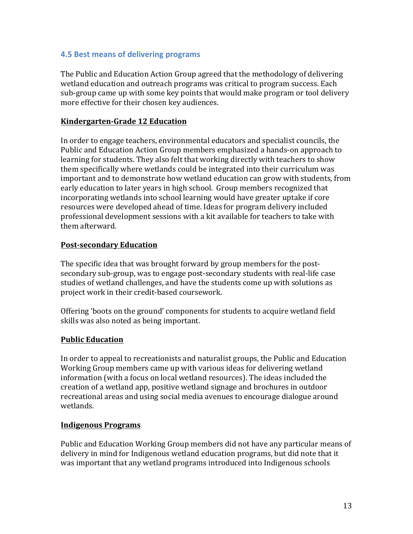#### **4.5 Best means of delivering programs**

The Public and Education Action Group agreed that the methodology of delivering wetland education and outreach programs was critical to program success. Each sub-group came up with some key points that would make program or tool delivery more effective for their chosen key audiences.

#### **Kindergarten-Grade 12 Education**

In order to engage teachers, environmental educators and specialist councils, the Public and Education Action Group members emphasized a hands-on approach to learning for students. They also felt that working directly with teachers to show them specifically where wetlands could be integrated into their curriculum was important and to demonstrate how wetland education can grow with students, from early education to later years in high school. Group members recognized that incorporating wetlands into school learning would have greater uptake if core resources were developed ahead of time. Ideas for program delivery included professional development sessions with a kit available for teachers to take with them afterward. 

#### **Post-secondary Education**

The specific idea that was brought forward by group members for the postsecondary sub-group, was to engage post-secondary students with real-life case studies of wetland challenges, and have the students come up with solutions as project work in their credit-based coursework.

Offering 'boots on the ground' components for students to acquire wetland field skills was also noted as being important.

#### **Public Education**

In order to appeal to recreationists and naturalist groups, the Public and Education Working Group members came up with various ideas for delivering wetland information (with a focus on local wetland resources). The ideas included the creation of a wetland app, positive wetland signage and brochures in outdoor recreational areas and using social media avenues to encourage dialogue around wetlands. 

#### **Indigenous Programs**

Public and Education Working Group members did not have any particular means of delivery in mind for Indigenous wetland education programs, but did note that it was important that any wetland programs introduced into Indigenous schools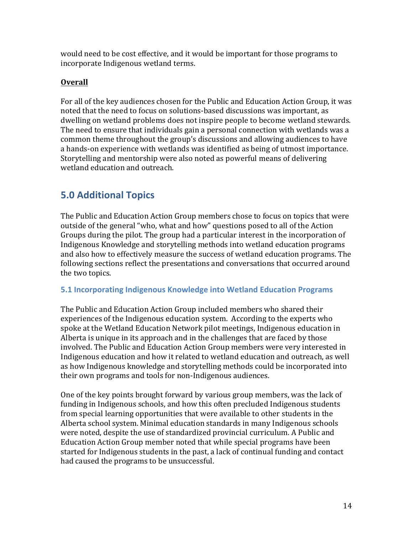would need to be cost effective, and it would be important for those programs to incorporate Indigenous wetland terms.

#### **Overall**

For all of the key audiences chosen for the Public and Education Action Group, it was noted that the need to focus on solutions-based discussions was important, as dwelling on wetland problems does not inspire people to become wetland stewards. The need to ensure that individuals gain a personal connection with wetlands was a common theme throughout the group's discussions and allowing audiences to have a hands-on experience with wetlands was identified as being of utmost importance. Storytelling and mentorship were also noted as powerful means of delivering wetland education and outreach.

## **5.0 Additional Topics**

The Public and Education Action Group members chose to focus on topics that were outside of the general "who, what and how" questions posed to all of the Action Groups during the pilot. The group had a particular interest in the incorporation of Indigenous Knowledge and storytelling methods into wetland education programs and also how to effectively measure the success of wetland education programs. The following sections reflect the presentations and conversations that occurred around the two topics.

#### **5.1 Incorporating Indigenous Knowledge into Wetland Education Programs**

The Public and Education Action Group included members who shared their experiences of the Indigenous education system. According to the experts who spoke at the Wetland Education Network pilot meetings, Indigenous education in Alberta is unique in its approach and in the challenges that are faced by those involved. The Public and Education Action Group members were very interested in Indigenous education and how it related to wetland education and outreach, as well as how Indigenous knowledge and storytelling methods could be incorporated into their own programs and tools for non-Indigenous audiences.

One of the key points brought forward by various group members, was the lack of funding in Indigenous schools, and how this often precluded Indigenous students from special learning opportunities that were available to other students in the Alberta school system. Minimal education standards in many Indigenous schools were noted, despite the use of standardized provincial curriculum. A Public and Education Action Group member noted that while special programs have been started for Indigenous students in the past, a lack of continual funding and contact had caused the programs to be unsuccessful.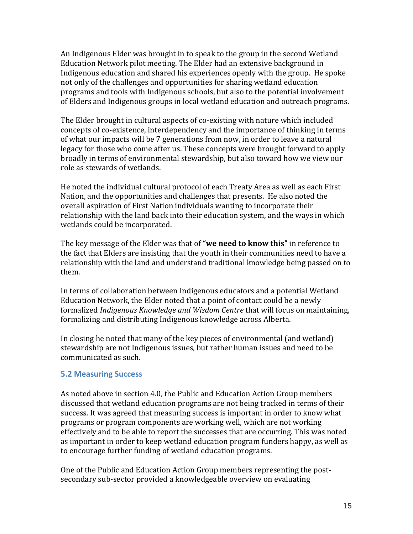An Indigenous Elder was brought in to speak to the group in the second Wetland Education Network pilot meeting. The Elder had an extensive background in Indigenous education and shared his experiences openly with the group. He spoke not only of the challenges and opportunities for sharing wetland education programs and tools with Indigenous schools, but also to the potential involvement of Elders and Indigenous groups in local wetland education and outreach programs.

The Elder brought in cultural aspects of co-existing with nature which included concepts of co-existence, interdependency and the importance of thinking in terms of what our impacts will be 7 generations from now, in order to leave a natural legacy for those who come after us. These concepts were brought forward to apply broadly in terms of environmental stewardship, but also toward how we view our role as stewards of wetlands.

He noted the individual cultural protocol of each Treaty Area as well as each First Nation, and the opportunities and challenges that presents. He also noted the overall aspiration of First Nation individuals wanting to incorporate their relationship with the land back into their education system, and the ways in which wetlands could be incorporated.

The key message of the Elder was that of "**we need to know this**" in reference to the fact that Elders are insisting that the youth in their communities need to have a relationship with the land and understand traditional knowledge being passed on to them. 

In terms of collaboration between Indigenous educators and a potential Wetland Education Network, the Elder noted that a point of contact could be a newly formalized *Indigenous Knowledge and Wisdom Centre* that will focus on maintaining, formalizing and distributing Indigenous knowledge across Alberta.

In closing he noted that many of the key pieces of environmental (and wetland) stewardship are not Indigenous issues, but rather human issues and need to be communicated as such.

#### **5.2 Measuring Success**

As noted above in section 4.0, the Public and Education Action Group members discussed that wetland education programs are not being tracked in terms of their success. It was agreed that measuring success is important in order to know what programs or program components are working well, which are not working effectively and to be able to report the successes that are occurring. This was noted as important in order to keep wetland education program funders happy, as well as to encourage further funding of wetland education programs.

One of the Public and Education Action Group members representing the postsecondary sub-sector provided a knowledgeable overview on evaluating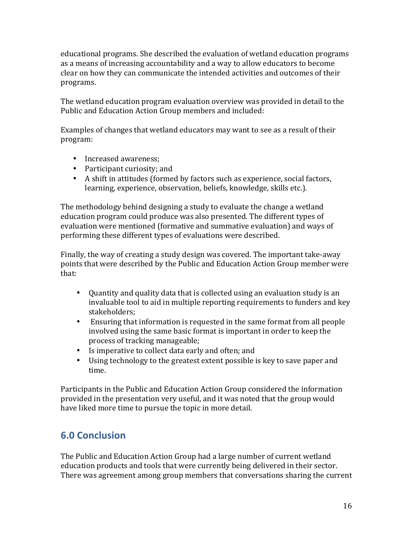educational programs. She described the evaluation of wetland education programs as a means of increasing accountability and a way to allow educators to become clear on how they can communicate the intended activities and outcomes of their programs. 

The wetland education program evaluation overview was provided in detail to the Public and Education Action Group members and included:

Examples of changes that wetland educators may want to see as a result of their program:

- Increased awareness:
- Participant curiosity; and
- A shift in attitudes (formed by factors such as experience, social factors, learning, experience, observation, beliefs, knowledge, skills etc.).

The methodology behind designing a study to evaluate the change a wetland education program could produce was also presented. The different types of evaluation were mentioned (formative and summative evaluation) and ways of performing these different types of evaluations were described.

Finally, the way of creating a study design was covered. The important take-away points that were described by the Public and Education Action Group member were that:

- Quantity and quality data that is collected using an evaluation study is an invaluable tool to aid in multiple reporting requirements to funders and key stakeholders;
- Ensuring that information is requested in the same format from all people involved using the same basic format is important in order to keep the process of tracking manageable;
- Is imperative to collect data early and often; and
- Using technology to the greatest extent possible is key to save paper and time.

Participants in the Public and Education Action Group considered the information provided in the presentation very useful, and it was noted that the group would have liked more time to pursue the topic in more detail.

# **6.0 Conclusion**

The Public and Education Action Group had a large number of current wetland education products and tools that were currently being delivered in their sector. There was agreement among group members that conversations sharing the current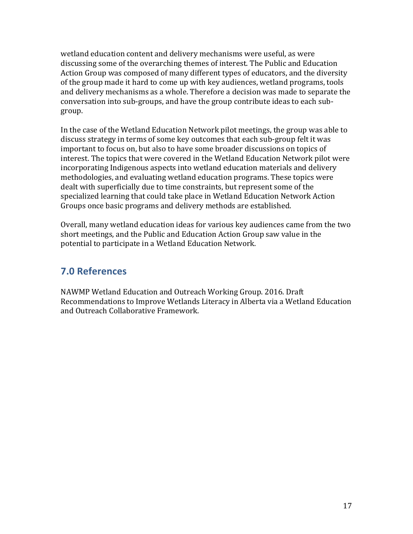wetland education content and delivery mechanisms were useful, as were discussing some of the overarching themes of interest. The Public and Education Action Group was composed of many different types of educators, and the diversity of the group made it hard to come up with key audiences, wetland programs, tools and delivery mechanisms as a whole. Therefore a decision was made to separate the conversation into sub-groups, and have the group contribute ideas to each subgroup.

In the case of the Wetland Education Network pilot meetings, the group was able to discuss strategy in terms of some key outcomes that each sub-group felt it was important to focus on, but also to have some broader discussions on topics of interest. The topics that were covered in the Wetland Education Network pilot were incorporating Indigenous aspects into wetland education materials and delivery methodologies, and evaluating wetland education programs. These topics were dealt with superficially due to time constraints, but represent some of the specialized learning that could take place in Wetland Education Network Action Groups once basic programs and delivery methods are established.

Overall, many wetland education ideas for various key audiences came from the two short meetings, and the Public and Education Action Group saw value in the potential to participate in a Wetland Education Network.

### **7.0 References**

NAWMP Wetland Education and Outreach Working Group. 2016. Draft Recommendations to Improve Wetlands Literacy in Alberta via a Wetland Education and Outreach Collaborative Framework.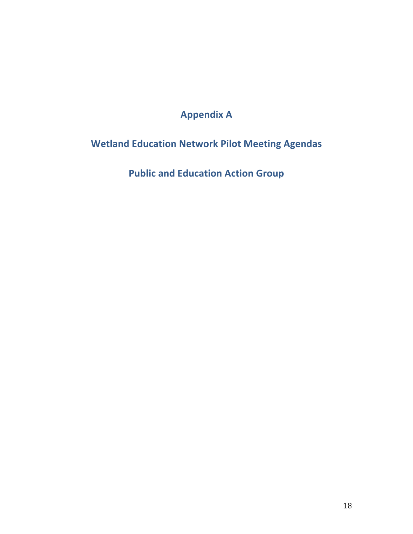# **Appendix A**

# **Wetland Education Network Pilot Meeting Agendas**

**Public and Education Action Group**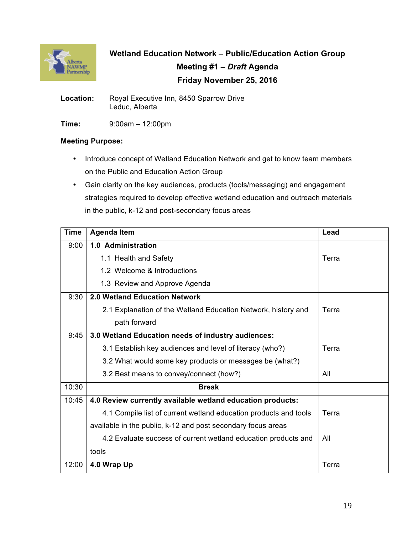

**Wetland Education Network – Public/Education Action Group Meeting #1 –** *Draft* **Agenda Friday November 25, 2016**

**Location:** Royal Executive Inn, 8450 Sparrow Drive Leduc, Alberta

**Time:** 9:00am – 12:00pm

#### **Meeting Purpose:**

- Introduce concept of Wetland Education Network and get to know team members on the Public and Education Action Group
- Gain clarity on the key audiences, products (tools/messaging) and engagement strategies required to develop effective wetland education and outreach materials in the public, k-12 and post-secondary focus areas

| <b>Time</b> | <b>Agenda Item</b>                                               | Lead  |
|-------------|------------------------------------------------------------------|-------|
| 9:00        | 1.0 Administration                                               |       |
|             | 1.1 Health and Safety                                            | Terra |
|             | 1.2 Welcome & Introductions                                      |       |
|             | 1.3 Review and Approve Agenda                                    |       |
| 9:30        | 2.0 Wetland Education Network                                    |       |
|             | 2.1 Explanation of the Wetland Education Network, history and    | Terra |
|             | path forward                                                     |       |
| 9:45        | 3.0 Wetland Education needs of industry audiences:               |       |
|             | 3.1 Establish key audiences and level of literacy (who?)         | Terra |
|             | 3.2 What would some key products or messages be (what?)          |       |
|             | 3.2 Best means to convey/connect (how?)                          | All   |
| 10:30       | <b>Break</b>                                                     |       |
| 10:45       | 4.0 Review currently available wetland education products:       |       |
|             | 4.1 Compile list of current wetland education products and tools | Terra |
|             | available in the public, k-12 and post secondary focus areas     |       |
|             | 4.2 Evaluate success of current wetland education products and   | All   |
|             | tools                                                            |       |
| 12:00       | 4.0 Wrap Up                                                      | Terra |